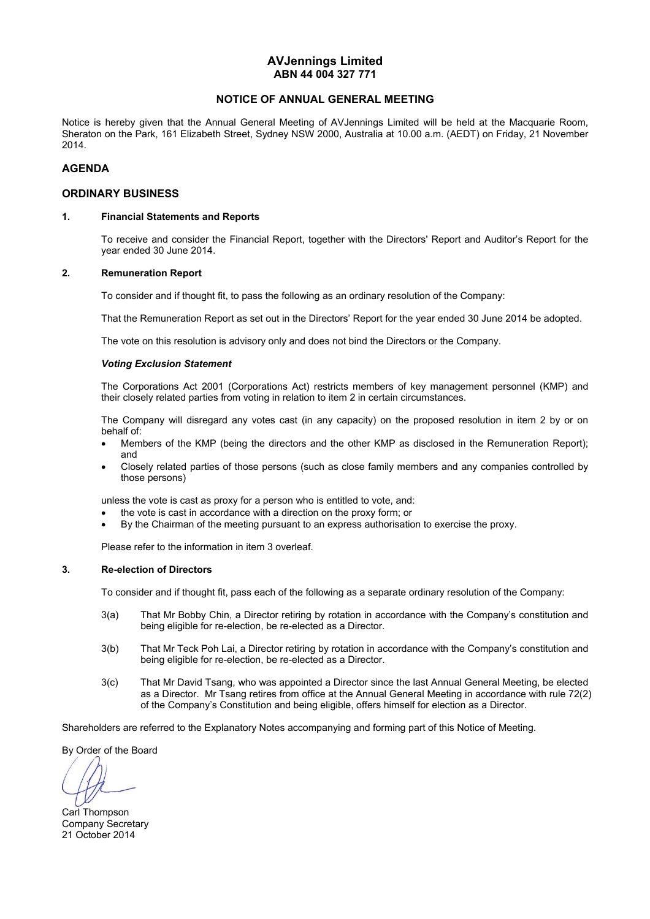## **AVJennings Limited ABN 44 004 327 771**

## **NOTICE OF ANNUAL GENERAL MEETING**

Notice is hereby given that the Annual General Meeting of AVJennings Limited will be held at the Macquarie Room, Sheraton on the Park, 161 Elizabeth Street, Sydney NSW 2000, Australia at 10.00 a.m. (AEDT) on Friday, 21 November 2014.

## **AGENDA**

### **ORDINARY BUSINESS**

### **1. Financial Statements and Reports**

To receive and consider the Financial Report, together with the Directors' Report and Auditor's Report for the year ended 30 June 2014.

### **2. Remuneration Report**

To consider and if thought fit, to pass the following as an ordinary resolution of the Company:

That the Remuneration Report as set out in the Directors' Report for the year ended 30 June 2014 be adopted.

The vote on this resolution is advisory only and does not bind the Directors or the Company.

### *Voting Exclusion Statement*

 The Corporations Act 2001 (Corporations Act) restricts members of key management personnel (KMP) and their closely related parties from voting in relation to item 2 in certain circumstances.

 The Company will disregard any votes cast (in any capacity) on the proposed resolution in item 2 by or on behalf of:

- Members of the KMP (being the directors and the other KMP as disclosed in the Remuneration Report); and
- Closely related parties of those persons (such as close family members and any companies controlled by those persons)

unless the vote is cast as proxy for a person who is entitled to vote, and:

- the vote is cast in accordance with a direction on the proxy form; or
- By the Chairman of the meeting pursuant to an express authorisation to exercise the proxy.

Please refer to the information in item 3 overleaf.

### **3. Re-election of Directors**

To consider and if thought fit, pass each of the following as a separate ordinary resolution of the Company:

- 3(a) That Mr Bobby Chin, a Director retiring by rotation in accordance with the Company's constitution and being eligible for re-election, be re-elected as a Director.
- 3(b) That Mr Teck Poh Lai, a Director retiring by rotation in accordance with the Company's constitution and being eligible for re-election, be re-elected as a Director.
- 3(c) That Mr David Tsang, who was appointed a Director since the last Annual General Meeting, be elected as a Director. Mr Tsang retires from office at the Annual General Meeting in accordance with rule 72(2) of the Company's Constitution and being eligible, offers himself for election as a Director.

Shareholders are referred to the Explanatory Notes accompanying and forming part of this Notice of Meeting.

By Order of the Board

Carl Thompson Company Secretary 21 October 2014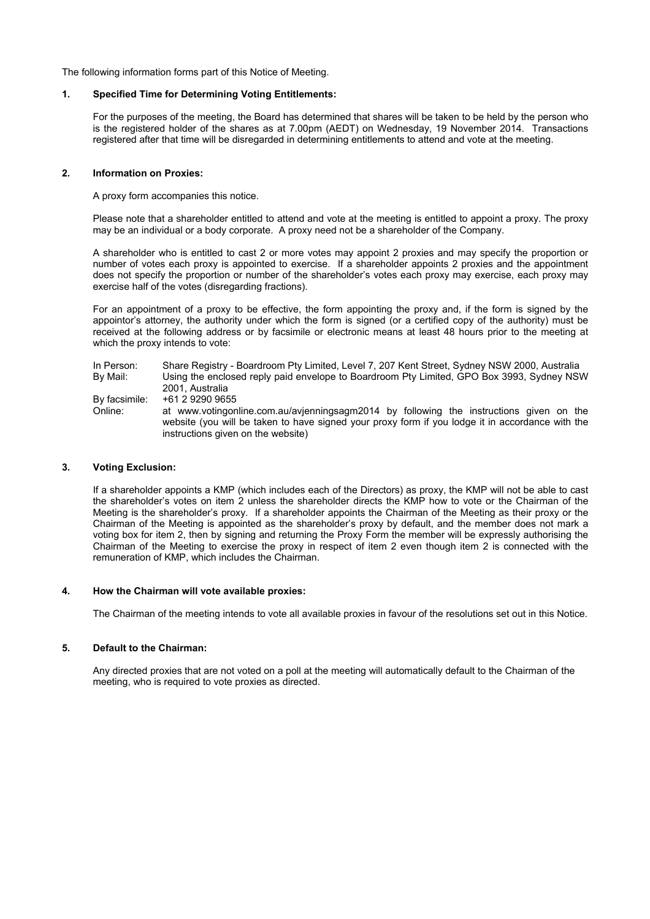The following information forms part of this Notice of Meeting.

### **1. Specified Time for Determining Voting Entitlements:**

For the purposes of the meeting, the Board has determined that shares will be taken to be held by the person who is the registered holder of the shares as at 7.00pm (AEDT) on Wednesday, 19 November 2014. Transactions registered after that time will be disregarded in determining entitlements to attend and vote at the meeting.

### **2. Information on Proxies:**

A proxy form accompanies this notice.

Please note that a shareholder entitled to attend and vote at the meeting is entitled to appoint a proxy. The proxy may be an individual or a body corporate. A proxy need not be a shareholder of the Company.

A shareholder who is entitled to cast 2 or more votes may appoint 2 proxies and may specify the proportion or number of votes each proxy is appointed to exercise. If a shareholder appoints 2 proxies and the appointment does not specify the proportion or number of the shareholder's votes each proxy may exercise, each proxy may exercise half of the votes (disregarding fractions).

For an appointment of a proxy to be effective, the form appointing the proxy and, if the form is signed by the appointor's attorney, the authority under which the form is signed (or a certified copy of the authority) must be received at the following address or by facsimile or electronic means at least 48 hours prior to the meeting at which the proxy intends to vote:

| In Person:               | Share Registry - Boardroom Pty Limited, Level 7, 207 Kent Street, Sydney NSW 2000, Australia                                                                                                                                                         |
|--------------------------|------------------------------------------------------------------------------------------------------------------------------------------------------------------------------------------------------------------------------------------------------|
| By Mail:                 | Using the enclosed reply paid envelope to Boardroom Pty Limited, GPO Box 3993, Sydney NSW<br>2001. Australia                                                                                                                                         |
| By facsimile:<br>Online: | +61 2 9290 9655<br>at www.votingonline.com.au/avjenningsagm2014 by following the instructions given on the<br>website (you will be taken to have signed your proxy form if you lodge it in accordance with the<br>instructions given on the website) |

### **3. Voting Exclusion:**

If a shareholder appoints a KMP (which includes each of the Directors) as proxy, the KMP will not be able to cast the shareholder's votes on item 2 unless the shareholder directs the KMP how to vote or the Chairman of the Meeting is the shareholder's proxy. If a shareholder appoints the Chairman of the Meeting as their proxy or the Chairman of the Meeting is appointed as the shareholder's proxy by default, and the member does not mark a voting box for item 2, then by signing and returning the Proxy Form the member will be expressly authorising the Chairman of the Meeting to exercise the proxy in respect of item 2 even though item 2 is connected with the remuneration of KMP, which includes the Chairman.

### **4. How the Chairman will vote available proxies:**

The Chairman of the meeting intends to vote all available proxies in favour of the resolutions set out in this Notice.

### **5. Default to the Chairman:**

Any directed proxies that are not voted on a poll at the meeting will automatically default to the Chairman of the meeting, who is required to vote proxies as directed.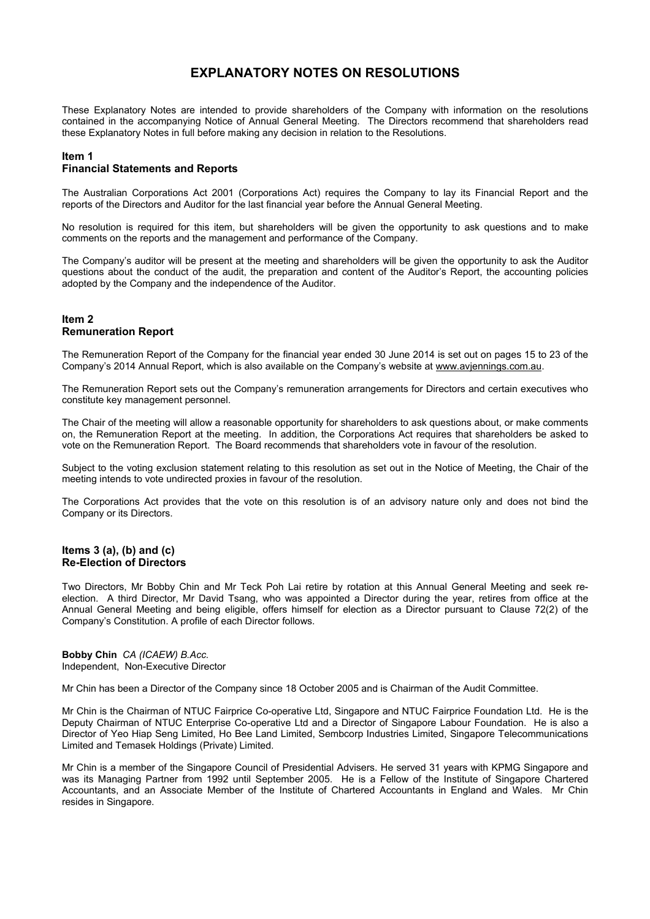# **EXPLANATORY NOTES ON RESOLUTIONS**

These Explanatory Notes are intended to provide shareholders of the Company with information on the resolutions contained in the accompanying Notice of Annual General Meeting. The Directors recommend that shareholders read these Explanatory Notes in full before making any decision in relation to the Resolutions.

# **Item 1**

## **Financial Statements and Reports**

The Australian Corporations Act 2001 (Corporations Act) requires the Company to lay its Financial Report and the reports of the Directors and Auditor for the last financial year before the Annual General Meeting.

No resolution is required for this item, but shareholders will be given the opportunity to ask questions and to make comments on the reports and the management and performance of the Company.

The Company's auditor will be present at the meeting and shareholders will be given the opportunity to ask the Auditor questions about the conduct of the audit, the preparation and content of the Auditor's Report, the accounting policies adopted by the Company and the independence of the Auditor.

## **Item 2 Remuneration Report**

The Remuneration Report of the Company for the financial year ended 30 June 2014 is set out on pages 15 to 23 of the Company's 2014 Annual Report, which is also available on the Company's website at www.avjennings.com.au.

The Remuneration Report sets out the Company's remuneration arrangements for Directors and certain executives who constitute key management personnel.

The Chair of the meeting will allow a reasonable opportunity for shareholders to ask questions about, or make comments on, the Remuneration Report at the meeting. In addition, the Corporations Act requires that shareholders be asked to vote on the Remuneration Report. The Board recommends that shareholders vote in favour of the resolution.

Subject to the voting exclusion statement relating to this resolution as set out in the Notice of Meeting, the Chair of the meeting intends to vote undirected proxies in favour of the resolution.

The Corporations Act provides that the vote on this resolution is of an advisory nature only and does not bind the Company or its Directors.

### **Items 3 (a), (b) and (c) Re-Election of Directors**

Two Directors, Mr Bobby Chin and Mr Teck Poh Lai retire by rotation at this Annual General Meeting and seek reelection. A third Director, Mr David Tsang, who was appointed a Director during the year, retires from office at the Annual General Meeting and being eligible, offers himself for election as a Director pursuant to Clause 72(2) of the Company's Constitution. A profile of each Director follows.

### **Bobby Chin** *CA (ICAEW) B.Acc.*  Independent, Non-Executive Director

Mr Chin has been a Director of the Company since 18 October 2005 and is Chairman of the Audit Committee.

Mr Chin is the Chairman of NTUC Fairprice Co-operative Ltd, Singapore and NTUC Fairprice Foundation Ltd. He is the Deputy Chairman of NTUC Enterprise Co-operative Ltd and a Director of Singapore Labour Foundation. He is also a Director of Yeo Hiap Seng Limited, Ho Bee Land Limited, Sembcorp Industries Limited, Singapore Telecommunications Limited and Temasek Holdings (Private) Limited.

Mr Chin is a member of the Singapore Council of Presidential Advisers. He served 31 years with KPMG Singapore and was its Managing Partner from 1992 until September 2005. He is a Fellow of the Institute of Singapore Chartered Accountants, and an Associate Member of the Institute of Chartered Accountants in England and Wales. Mr Chin resides in Singapore.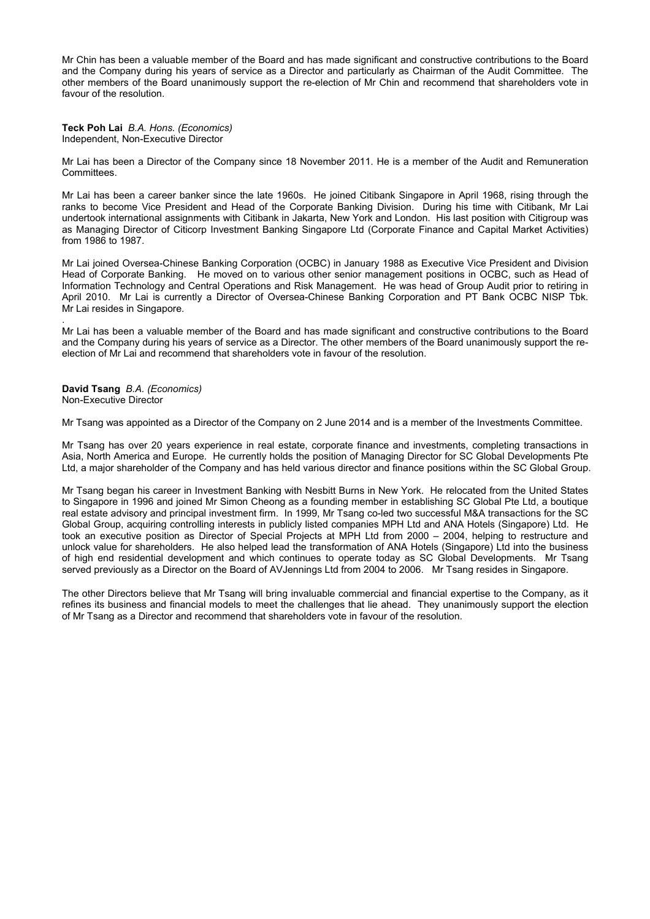Mr Chin has been a valuable member of the Board and has made significant and constructive contributions to the Board and the Company during his years of service as a Director and particularly as Chairman of the Audit Committee. The other members of the Board unanimously support the re-election of Mr Chin and recommend that shareholders vote in favour of the resolution.

**Teck Poh Lai** *B.A. Hons. (Economics)*  Independent, Non-Executive Director

Mr Lai has been a Director of the Company since 18 November 2011. He is a member of the Audit and Remuneration Committees.

Mr Lai has been a career banker since the late 1960s. He joined Citibank Singapore in April 1968, rising through the ranks to become Vice President and Head of the Corporate Banking Division. During his time with Citibank, Mr Lai undertook international assignments with Citibank in Jakarta, New York and London. His last position with Citigroup was as Managing Director of Citicorp Investment Banking Singapore Ltd (Corporate Finance and Capital Market Activities) from 1986 to 1987.

Mr Lai joined Oversea-Chinese Banking Corporation (OCBC) in January 1988 as Executive Vice President and Division Head of Corporate Banking. He moved on to various other senior management positions in OCBC, such as Head of Information Technology and Central Operations and Risk Management. He was head of Group Audit prior to retiring in April 2010. Mr Lai is currently a Director of Oversea-Chinese Banking Corporation and PT Bank OCBC NISP Tbk. Mr Lai resides in Singapore.

Mr Lai has been a valuable member of the Board and has made significant and constructive contributions to the Board and the Company during his years of service as a Director. The other members of the Board unanimously support the reelection of Mr Lai and recommend that shareholders vote in favour of the resolution.

**David Tsang** *B.A. (Economics)*  Non-Executive Director

.

Mr Tsang was appointed as a Director of the Company on 2 June 2014 and is a member of the Investments Committee.

Mr Tsang has over 20 years experience in real estate, corporate finance and investments, completing transactions in Asia, North America and Europe. He currently holds the position of Managing Director for SC Global Developments Pte Ltd, a major shareholder of the Company and has held various director and finance positions within the SC Global Group.

Mr Tsang began his career in Investment Banking with Nesbitt Burns in New York. He relocated from the United States to Singapore in 1996 and joined Mr Simon Cheong as a founding member in establishing SC Global Pte Ltd, a boutique real estate advisory and principal investment firm. In 1999, Mr Tsang co-led two successful M&A transactions for the SC Global Group, acquiring controlling interests in publicly listed companies MPH Ltd and ANA Hotels (Singapore) Ltd. He took an executive position as Director of Special Projects at MPH Ltd from 2000 – 2004, helping to restructure and unlock value for shareholders. He also helped lead the transformation of ANA Hotels (Singapore) Ltd into the business of high end residential development and which continues to operate today as SC Global Developments. Mr Tsang served previously as a Director on the Board of AVJennings Ltd from 2004 to 2006. Mr Tsang resides in Singapore.

The other Directors believe that Mr Tsang will bring invaluable commercial and financial expertise to the Company, as it refines its business and financial models to meet the challenges that lie ahead. They unanimously support the election of Mr Tsang as a Director and recommend that shareholders vote in favour of the resolution.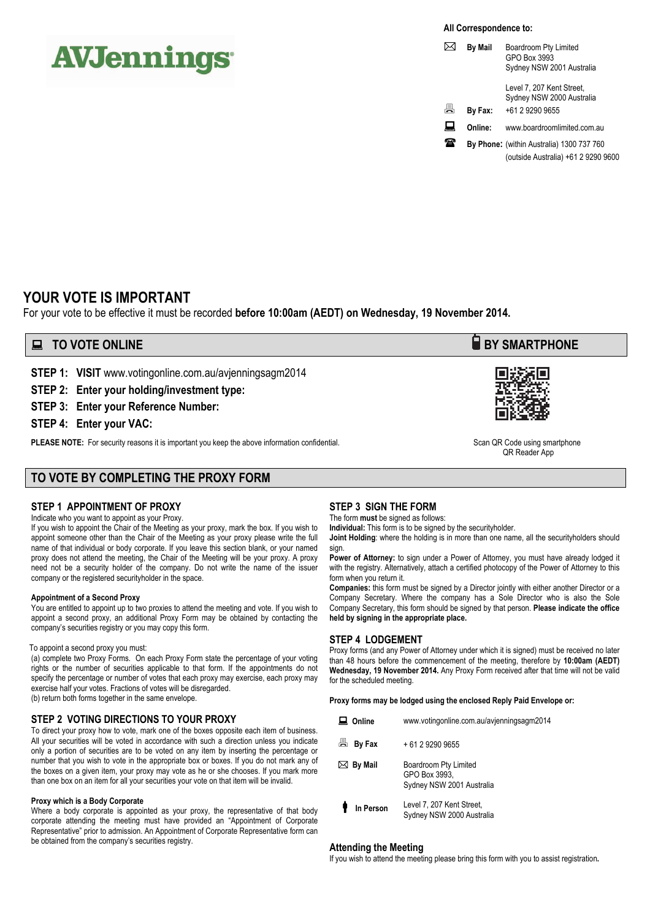# **AVJennings**

**All Correspondence to:** 

|   | By Mail | Boardroom Pty Limited<br>GPO Box 3993<br>Sydney NSW 2001 Australia |
|---|---------|--------------------------------------------------------------------|
|   |         | Level 7, 207 Kent Street,<br>Sydney NSW 2000 Australia             |
| 昌 | By Fax: | +61 2 9290 9655                                                    |
|   | Online: | www.boardroomlimited.com.au                                        |
|   |         | By Phone: (within Australia) 1300 737 760                          |
|   |         | (outside Australia) +61 2 9290 9600                                |

# **YOUR VOTE IS IMPORTANT**

For your vote to be effective it must be recorded **before 10:00am (AEDT) on Wednesday, 19 November 2014.** 

# **EXECUTE ONLINE BY SMARTPHONE**

**STEP 1: VISIT** www.votingonline.com.au/avjenningsagm2014

**STEP 2: Enter your holding/investment type:** 

**STEP 3: Enter your Reference Number:** 

**STEP 4: Enter your VAC:** 

PLEASE NOTE: For security reasons it is important you keep the above information confidential. Scan QR Code using smartphone

# **TO VOTE BY COMPLETING THE PROXY FORM**

# **STEP 1 APPOINTMENT OF PROXY**

Indicate who you want to appoint as your Proxy.

If you wish to appoint the Chair of the Meeting as your proxy, mark the box. If you wish to appoint someone other than the Chair of the Meeting as your proxy please write the full name of that individual or body corporate. If you leave this section blank, or your named proxy does not attend the meeting, the Chair of the Meeting will be your proxy. A proxy need not be a security holder of the company. Do not write the name of the issuer company or the registered securityholder in the space.

### **Appointment of a Second Proxy**

You are entitled to appoint up to two proxies to attend the meeting and vote. If you wish to appoint a second proxy, an additional Proxy Form may be obtained by contacting the company's securities registry or you may copy this form.

### To appoint a second proxy you must:

(a) complete two Proxy Forms. On each Proxy Form state the percentage of your voting rights or the number of securities applicable to that form. If the appointments do not specify the percentage or number of votes that each proxy may exercise, each proxy may exercise half your votes. Fractions of votes will be disregarded. (b) return both forms together in the same envelope.

## **STEP 2 VOTING DIRECTIONS TO YOUR PROXY**

To direct your proxy how to vote, mark one of the boxes opposite each item of business. All your securities will be voted in accordance with such a direction unless you indicate only a portion of securities are to be voted on any item by inserting the percentage or number that you wish to vote in the appropriate box or boxes. If you do not mark any of the boxes on a given item, your proxy may vote as he or she chooses. If you mark more than one box on an item for all your securities your vote on that item will be invalid.

### **Proxy which is a Body Corporate**

Where a body corporate is appointed as your proxy, the representative of that body corporate attending the meeting must have provided an "Appointment of Corporate Representative" prior to admission. An Appointment of Corporate Representative form can be obtained from the company's securities registry.

# **STEP 3 SIGN THE FORM**

The form **must** be signed as follows:

**Individual:** This form is to be signed by the securityholder.

**Joint Holding**: where the holding is in more than one name, all the securityholders should sign.

Power of Attorney: to sign under a Power of Attorney, you must have already lodged it with the registry. Alternatively, attach a certified photocopy of the Power of Attorney to this form when you return it.

**Companies:** this form must be signed by a Director jointly with either another Director or a Company Secretary. Where the company has a Sole Director who is also the Sole Company Secretary, this form should be signed by that person. **Please indicate the office held by signing in the appropriate place.**

## **STEP 4 LODGEMENT**

Proxy forms (and any Power of Attorney under which it is signed) must be received no later than 48 hours before the commencement of the meeting, therefore by **10:00am (AEDT) Wednesday, 19 November 2014.** Any Proxy Form received after that time will not be valid for the scheduled meeting.

**Proxy forms may be lodged using the enclosed Reply Paid Envelope or:** 

| Online              | www.votingonline.com.au/avjenningsagm2014                           |
|---------------------|---------------------------------------------------------------------|
| 圖 By Fax            | + 61 2 9290 9655                                                    |
| $\boxtimes$ By Mail | Boardroom Pty Limited<br>GPO Box 3993.<br>Sydney NSW 2001 Australia |
| In Person           | Level 7, 207 Kent Street,<br>Sydney NSW 2000 Australia              |

### **Attending the Meeting**

If you wish to attend the meeting please bring this form with you to assist registration**.**



QR Reader App